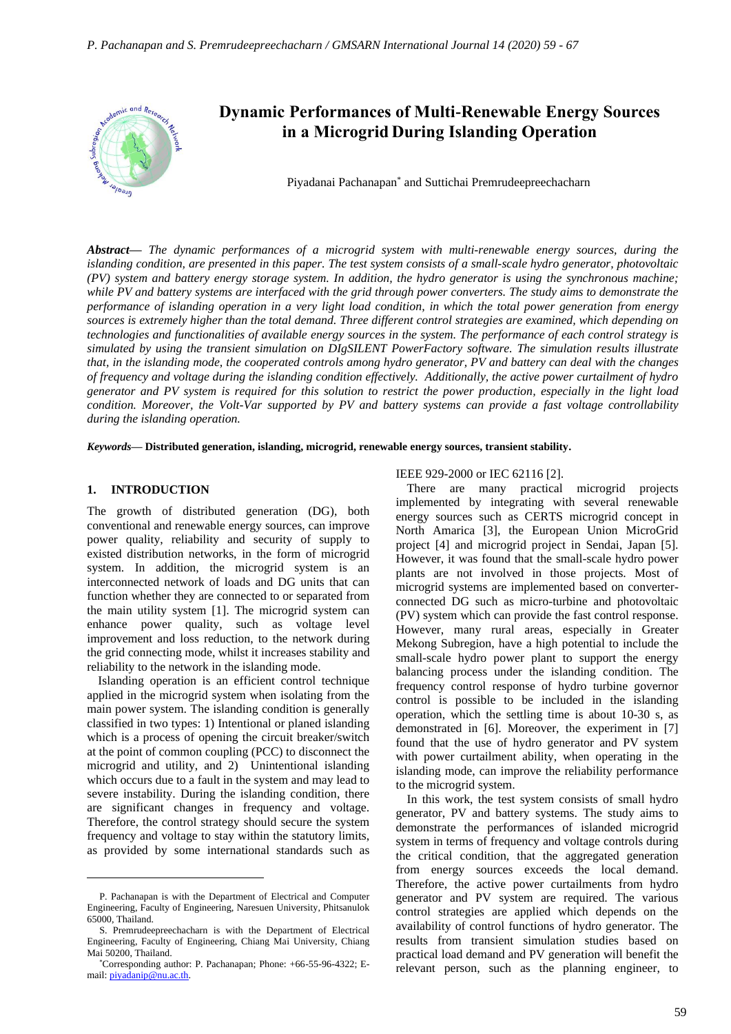

# **Dynamic Performances of Multi-Renewable Energy Sources in a Microgrid During Islanding Operation**

Piyadanai Pachanapan\* and Suttichai Premrudeepreechacharn

*Abstract***—** *The dynamic performances of a microgrid system with multi-renewable energy sources, during the islanding condition, are presented in this paper. The test system consists of a small-scale hydro generator, photovoltaic (PV) system and battery energy storage system. In addition, the hydro generator is using the synchronous machine; while PV and battery systems are interfaced with the grid through power converters. The study aims to demonstrate the performance of islanding operation in a very light load condition, in which the total power generation from energy sources is extremely higher than the total demand. Three different control strategies are examined, which depending on technologies and functionalities of available energy sources in the system. The performance of each control strategy is simulated by using the transient simulation on DIgSILENT PowerFactory software. The simulation results illustrate that, in the islanding mode, the cooperated controls among hydro generator, PV and battery can deal with the changes of frequency and voltage during the islanding condition effectively. Additionally, the active power curtailment of hydro generator and PV system is required for this solution to restrict the power production, especially in the light load condition. Moreover, the Volt-Var supported by PV and battery systems can provide a fast voltage controllability during the islanding operation.*

*Keywords***— Distributed generation, islanding, microgrid, renewable energy sources, transient stability.**

#### **1. INTRODUCTION**

The growth of distributed generation (DG), both conventional and renewable energy sources, can improve power quality, reliability and security of supply to existed distribution networks, in the form of microgrid system. In addition, the microgrid system is an interconnected network of loads and DG units that can function whether they are connected to or separated from the main utility system [1]. The microgrid system can enhance power quality, such as voltage level improvement and loss reduction, to the network during the grid connecting mode, whilst it increases stability and reliability to the network in the islanding mode.

Islanding operation is an efficient control technique applied in the microgrid system when isolating from the main power system. The islanding condition is generally classified in two types: 1) Intentional or planed islanding which is a process of opening the circuit breaker/switch at the point of common coupling (PCC) to disconnect the microgrid and utility, and 2) Unintentional islanding which occurs due to a fault in the system and may lead to severe instability. During the islanding condition, there are significant changes in frequency and voltage. Therefore, the control strategy should secure the system frequency and voltage to stay within the statutory limits, as provided by some international standards such as

# IEEE 929-2000 or IEC 62116 [2].

There are many practical microgrid projects implemented by integrating with several renewable energy sources such as CERTS microgrid concept in North Amarica [3], the European Union MicroGrid project [4] and microgrid project in Sendai, Japan [5]. However, it was found that the small-scale hydro power plants are not involved in those projects. Most of microgrid systems are implemented based on converterconnected DG such as micro-turbine and photovoltaic (PV) system which can provide the fast control response. However, many rural areas, especially in Greater Mekong Subregion, have a high potential to include the small-scale hydro power plant to support the energy balancing process under the islanding condition. The frequency control response of hydro turbine governor control is possible to be included in the islanding operation, which the settling time is about 10-30 s, as demonstrated in [6]. Moreover, the experiment in [7] found that the use of hydro generator and PV system with power curtailment ability, when operating in the islanding mode, can improve the reliability performance to the microgrid system.

In this work, the test system consists of small hydro generator, PV and battery systems. The study aims to demonstrate the performances of islanded microgrid system in terms of frequency and voltage controls during the critical condition, that the aggregated generation from energy sources exceeds the local demand. Therefore, the active power curtailments from hydro generator and PV system are required. The various control strategies are applied which depends on the availability of control functions of hydro generator. The results from transient simulation studies based on practical load demand and PV generation will benefit the relevant person, such as the planning engineer, to

P. Pachanapan is with the Department of Electrical and Computer Engineering, Faculty of Engineering, Naresuen University, Phitsanulok 65000, Thailand.

S. Premrudeepreechacharn is with the Department of Electrical Engineering, Faculty of Engineering, Chiang Mai University, Chiang Mai 50200, Thailand.

<sup>\*</sup>Corresponding author: P. Pachanapan; Phone: +66-55-96-4322; Email[: piyadanip@nu.ac.th.](mailto:piyadanip@nu.ac.th)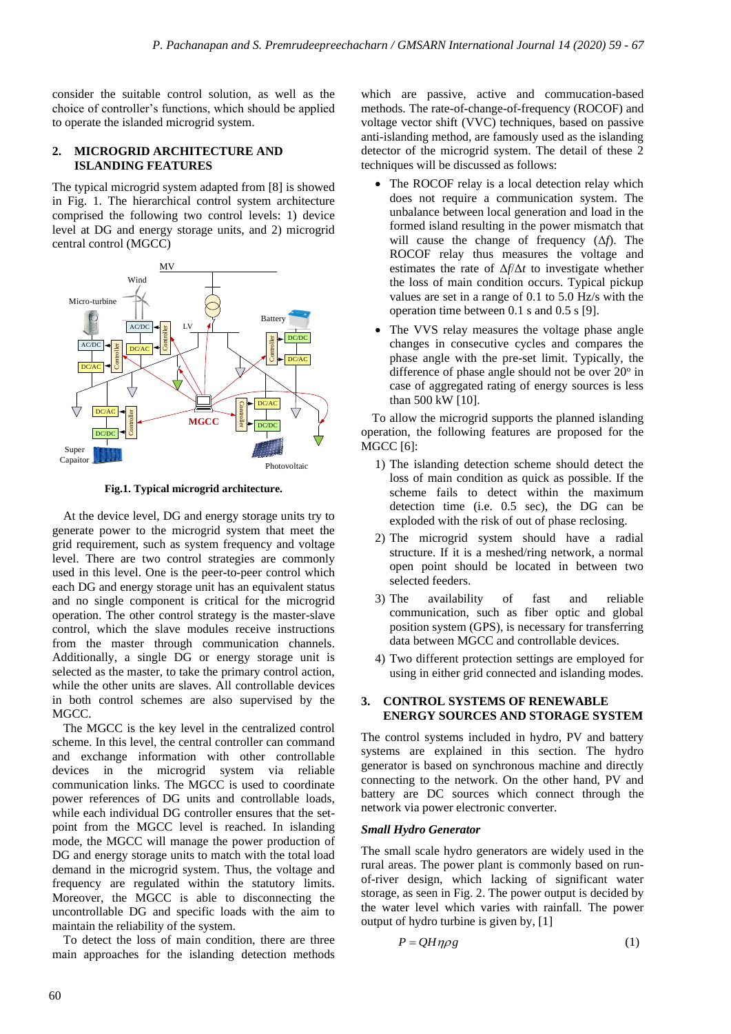consider the suitable control solution, as well as the choice of controller's functions, which should be applied to operate the islanded microgrid system.

# **2. MICROGRID ARCHITECTURE AND ISLANDING FEATURES**

The typical microgrid system adapted from [8] is showed in Fig. 1. The hierarchical control system architecture comprised the following two control levels: 1) device level at DG and energy storage units, and 2) microgrid central control (MGCC)



**Fig.1. Typical microgrid architecture.**

At the device level, DG and energy storage units try to generate power to the microgrid system that meet the grid requirement, such as system frequency and voltage level. There are two control strategies are commonly used in this level. One is the peer-to-peer control which each DG and energy storage unit has an equivalent status and no single component is critical for the microgrid operation. The other control strategy is the master-slave control, which the slave modules receive instructions from the master through communication channels. Additionally, a single DG or energy storage unit is selected as the master, to take the primary control action, while the other units are slaves. All controllable devices in both control schemes are also supervised by the MGCC.

The MGCC is the key level in the centralized control scheme. In this level, the central controller can command and exchange information with other controllable devices in the microgrid system via reliable communication links. The MGCC is used to coordinate power references of DG units and controllable loads, while each individual DG controller ensures that the setpoint from the MGCC level is reached. In islanding mode, the MGCC will manage the power production of DG and energy storage units to match with the total load demand in the microgrid system. Thus, the voltage and frequency are regulated within the statutory limits. Moreover, the MGCC is able to disconnecting the uncontrollable DG and specific loads with the aim to maintain the reliability of the system.

To detect the loss of main condition, there are three main approaches for the islanding detection methods

which are passive, active and commucation-based methods. The rate-of-change-of-frequency (ROCOF) and voltage vector shift (VVC) techniques, based on passive anti-islanding method, are famously used as the islanding detector of the microgrid system. The detail of these 2 techniques will be discussed as follows:

- The ROCOF relay is a local detection relay which does not require a communication system. The unbalance between local generation and load in the formed island resulting in the power mismatch that will cause the change of frequency (Δ*f*). The ROCOF relay thus measures the voltage and estimates the rate of Δ*f*/Δ*t* to investigate whether the loss of main condition occurs. Typical pickup values are set in a range of 0.1 to 5.0 Hz/s with the operation time between 0.1 s and 0.5 s [9].
- The VVS relay measures the voltage phase angle changes in consecutive cycles and compares the phase angle with the pre-set limit. Typically, the difference of phase angle should not be over  $20^{\circ}$  in case of aggregated rating of energy sources is less than 500 kW [10].

To allow the microgrid supports the planned islanding operation, the following features are proposed for the MGCC [6]:

- 1) The islanding detection scheme should detect the loss of main condition as quick as possible. If the scheme fails to detect within the maximum detection time (i.e. 0.5 sec), the DG can be exploded with the risk of out of phase reclosing.
- 2) The microgrid system should have a radial structure. If it is a meshed/ring network, a normal open point should be located in between two selected feeders.
- 3) The availability of fast and reliable communication, such as fiber optic and global position system (GPS), is necessary for transferring data between MGCC and controllable devices.
- 4) Two different protection settings are employed for using in either grid connected and islanding modes.

# **3. CONTROL SYSTEMS OF RENEWABLE ENERGY SOURCES AND STORAGE SYSTEM**

The control systems included in hydro, PV and battery systems are explained in this section. The hydro generator is based on synchronous machine and directly connecting to the network. On the other hand, PV and battery are DC sources which connect through the network via power electronic converter.

# *Small Hydro Generator*

The small scale hydro generators are widely used in the rural areas. The power plant is commonly based on runof-river design, which lacking of significant water storage, as seen in Fig. 2. The power output is decided by the water level which varies with rainfall. The power output of hydro turbine is given by, [1]

$$
P = QH\eta\rho g\tag{1}
$$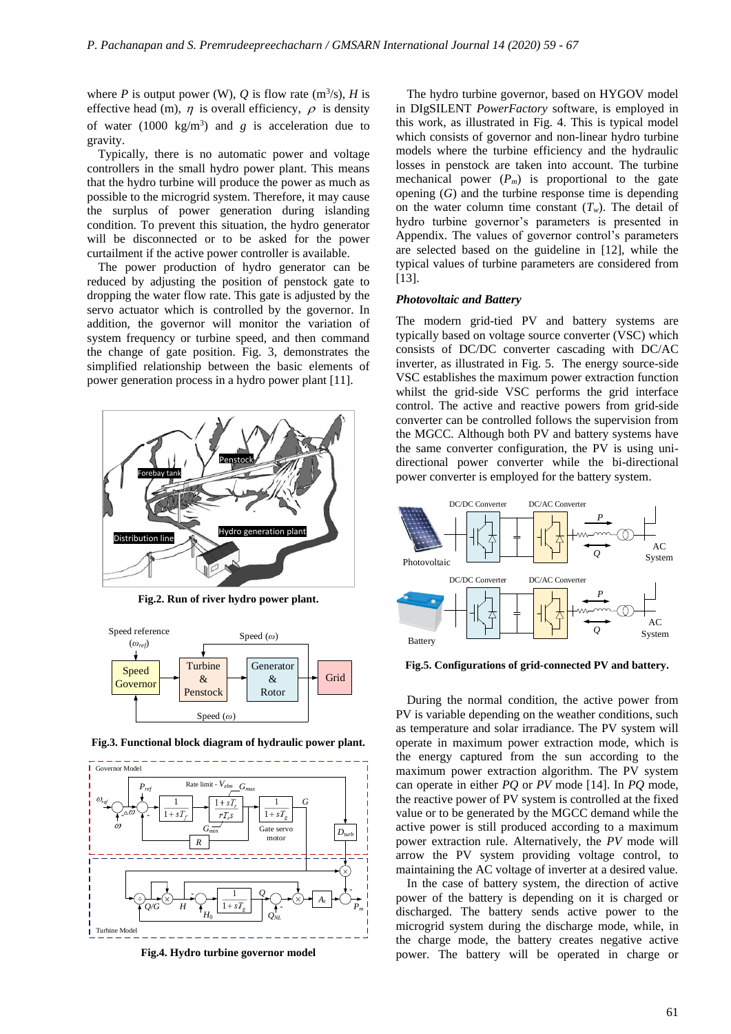where *P* is output power (W), *Q* is flow rate  $(m^3/s)$ , *H* is effective head (m),  $\eta$  is overall efficiency,  $\rho$  is density of water  $(1000 \text{ kg/m}^3)$  and *g* is acceleration due to gravity.

Typically, there is no automatic power and voltage controllers in the small hydro power plant. This means that the hydro turbine will produce the power as much as possible to the microgrid system. Therefore, it may cause the surplus of power generation during islanding condition. To prevent this situation, the hydro generator will be disconnected or to be asked for the power curtailment if the active power controller is available.

The power production of hydro generator can be reduced by adjusting the position of penstock gate to dropping the water flow rate. This gate is adjusted by the servo actuator which is controlled by the governor. In addition, the governor will monitor the variation of system frequency or turbine speed, and then command the change of gate position. Fig. 3, demonstrates the simplified relationship between the basic elements of power generation process in a hydro power plant [11].



**Fig.2. Run of river hydro power plant.**





**Fig.3. Functional block diagram of hydraulic power plant.**

The hydro turbine governor, based on HYGOV model in DIgSILENT *PowerFactory* software, is employed in this work, as illustrated in Fig. 4. This is typical model which consists of governor and non-linear hydro turbine models where the turbine efficiency and the hydraulic losses in penstock are taken into account. The turbine mechanical power  $(P_m)$  is proportional to the gate opening (*G*) and the turbine response time is depending on the water column time constant  $(T_w)$ . The detail of hydro turbine governor's parameters is presented in Appendix. The values of governor control's parameters are selected based on the guideline in [12], while the typical values of turbine parameters are considered from [13].

#### *Photovoltaic and Battery*

The modern grid-tied PV and battery systems are typically based on voltage source converter (VSC) which consists of DC/DC converter cascading with DC/AC inverter, as illustrated in Fig. 5. The energy source-side VSC establishes the maximum power extraction function whilst the grid-side VSC performs the grid interface control. The active and reactive powers from grid-side converter can be controlled follows the supervision from the MGCC. Although both PV and battery systems have the same converter configuration, the PV is using unidirectional power converter while the bi-directional power converter is employed for the battery system.



**Fig.5. Configurations of grid-connected PV and battery.**

During the normal condition, the active power from PV is variable depending on the weather conditions, such as temperature and solar irradiance. The PV system will operate in maximum power extraction mode, which is the energy captured from the sun according to the maximum power extraction algorithm. The PV system can operate in either *PQ* or *PV* mode [14]. In *PQ* mode, the reactive power of PV system is controlled at the fixed value or to be generated by the MGCC demand while the active power is still produced according to a maximum power extraction rule. Alternatively, the *PV* mode will arrow the PV system providing voltage control, to maintaining the AC voltage of inverter at a desired value.

In the case of battery system, the direction of active power of the battery is depending on it is charged or discharged. The battery sends active power to the microgrid system during the discharge mode, while, in the charge mode, the battery creates negative active power. The battery will be operated in charge or

**Fig.4. Hydro turbine governor model**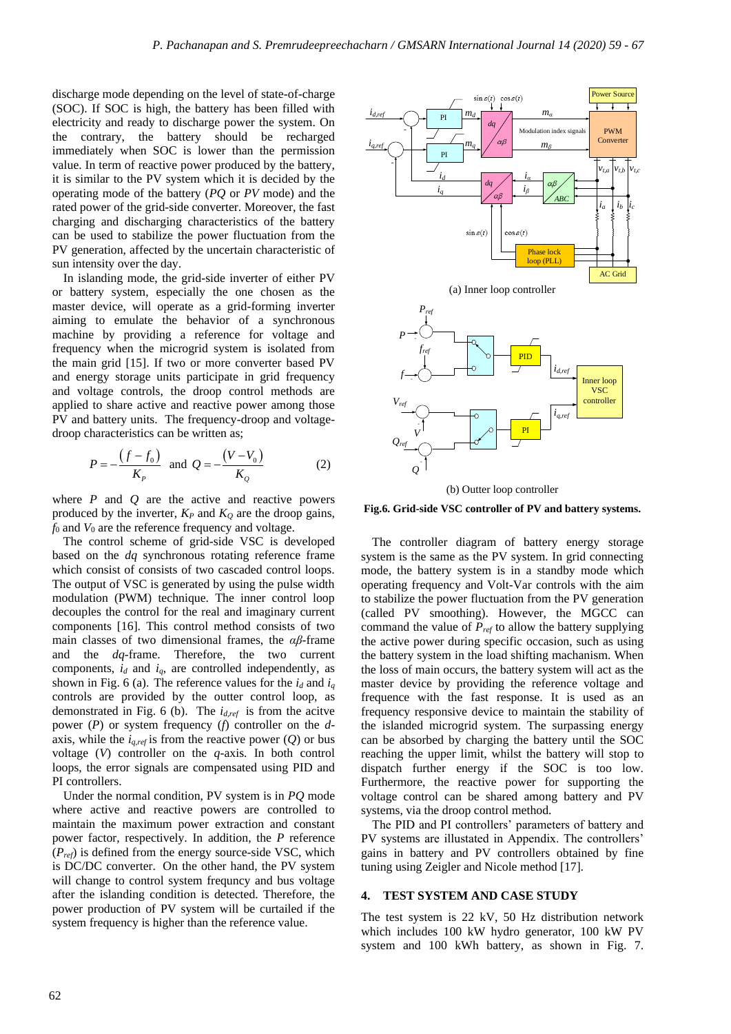discharge mode depending on the level of state-of-charge (SOC). If SOC is high, the battery has been filled with electricity and ready to discharge power the system. On the contrary, the battery should be recharged immediately when SOC is lower than the permission value. In term of reactive power produced by the battery, it is similar to the PV system which it is decided by the operating mode of the battery (*PQ* or *PV* mode) and the rated power of the grid-side converter. Moreover, the fast charging and discharging characteristics of the battery can be used to stabilize the power fluctuation from the PV generation, affected by the uncertain characteristic of sun intensity over the day.

In islanding mode, the grid-side inverter of either PV or battery system, especially the one chosen as the master device, will operate as a grid-forming inverter aiming to emulate the behavior of a synchronous machine by providing a reference for voltage and frequency when the microgrid system is isolated from the main grid [15]. If two or more converter based PV and energy storage units participate in grid frequency and voltage controls, the droop control methods are applied to share active and reactive power among those PV and battery units. The frequency-droop and voltagedroop characteristics can be written as;

$$
P = -\frac{(f - f_0)}{K_P} \text{ and } Q = -\frac{(V - V_0)}{K_Q} \tag{2}
$$

where *P* and *Q* are the active and reactive powers produced by the inverter,  $K_P$  and  $K_Q$  are the droop gains, *f*<sup>0</sup> and *V*<sup>0</sup> are the reference frequency and voltage.

The control scheme of grid-side VSC is developed based on the *dq* synchronous rotating reference frame which consist of consists of two cascaded control loops. The output of VSC is generated by using the pulse width modulation (PWM) technique. The inner control loop decouples the control for the real and imaginary current components [16]. This control method consists of two main classes of two dimensional frames, the *αβ*-frame and the *dq*-frame. Therefore, the two current components,  $i_d$  and  $i_q$ , are controlled independently, as shown in Fig. 6 (a). The reference values for the  $i_d$  and  $i_q$ controls are provided by the outter control loop, as demonstrated in Fig. 6 (b). The *id,ref* is from the acitve power (*P*) or system frequency (*f*) controller on the *d*axis, while the  $i_{q,ref}$  is from the reactive power  $(Q)$  or bus voltage (*V*) controller on the *q*-axis. In both control loops, the error signals are compensated using PID and PI controllers.

Under the normal condition, PV system is in *PQ* mode where active and reactive powers are controlled to maintain the maximum power extraction and constant power factor, respectively. In addition, the *P* reference (*Pref*) is defined from the energy source-side VSC, which is DC/DC converter. On the other hand, the PV system will change to control system frequncy and bus voltage after the islanding condition is detected. Therefore, the power production of PV system will be curtailed if the system frequency is higher than the reference value.



**Fig.6. Grid-side VSC controller of PV and battery systems.**

The controller diagram of battery energy storage system is the same as the PV system. In grid connecting mode, the battery system is in a standby mode which operating frequency and Volt-Var controls with the aim to stabilize the power fluctuation from the PV generation (called PV smoothing). However, the MGCC can command the value of *Pref* to allow the battery supplying the active power during specific occasion, such as using the battery system in the load shifting machanism. When the loss of main occurs, the battery system will act as the master device by providing the reference voltage and frequence with the fast response. It is used as an frequency responsive device to maintain the stability of the islanded microgrid system. The surpassing energy can be absorbed by charging the battery until the SOC reaching the upper limit, whilst the battery will stop to dispatch further energy if the SOC is too low. Furthermore, the reactive power for supporting the voltage control can be shared among battery and PV systems, via the droop control method.

The PID and PI controllers' parameters of battery and PV systems are illustated in Appendix. The controllers' gains in battery and PV controllers obtained by fine tuning using Zeigler and Nicole method [17].

# **4. TEST SYSTEM AND CASE STUDY**

The test system is 22 kV, 50 Hz distribution network which includes 100 kW hydro generator, 100 kW PV system and 100 kWh battery, as shown in Fig. 7.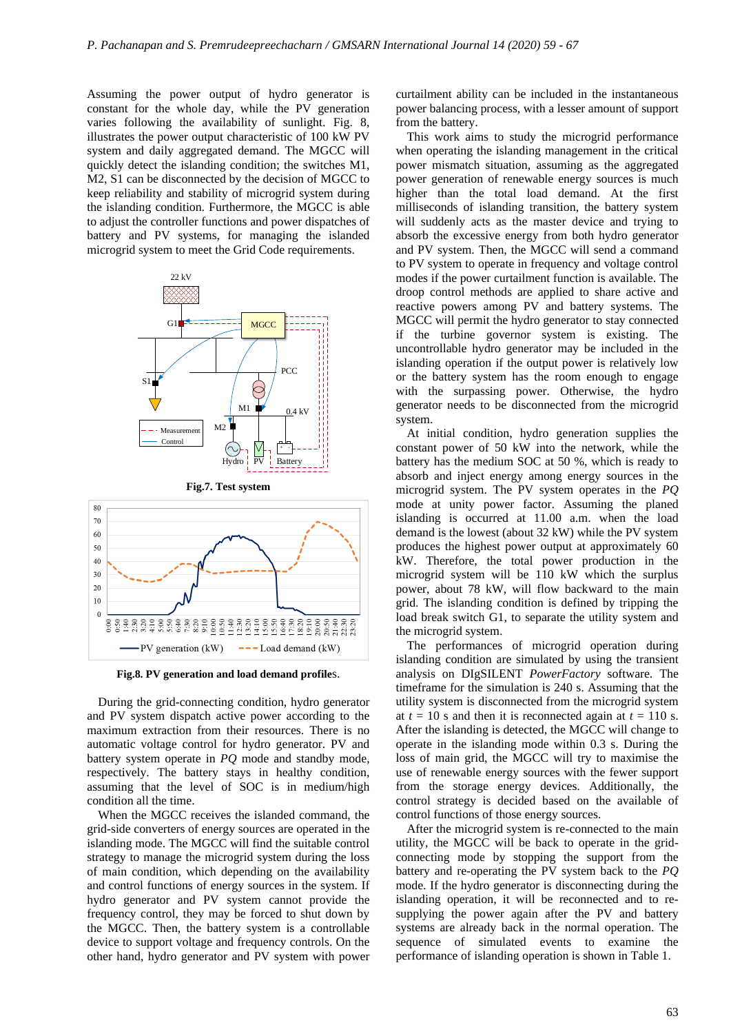Assuming the power output of hydro generator is constant for the whole day, while the PV generation varies following the availability of sunlight. Fig. 8, illustrates the power output characteristic of 100 kW PV system and daily aggregated demand. The MGCC will quickly detect the islanding condition; the switches M1, M2, S1 can be disconnected by the decision of MGCC to keep reliability and stability of microgrid system during the islanding condition. Furthermore, the MGCC is able to adjust the controller functions and power dispatches of battery and PV systems, for managing the islanded microgrid system to meet the Grid Code requirements.





80 70

**Fig.8. PV generation and load demand profile**s.

During the grid-connecting condition, hydro generator and PV system dispatch active power according to the maximum extraction from their resources. There is no automatic voltage control for hydro generator. PV and battery system operate in *PQ* mode and standby mode, respectively. The battery stays in healthy condition, assuming that the level of SOC is in medium/high condition all the time.

When the MGCC receives the islanded command, the grid-side converters of energy sources are operated in the islanding mode. The MGCC will find the suitable control strategy to manage the microgrid system during the loss of main condition, which depending on the availability and control functions of energy sources in the system. If hydro generator and PV system cannot provide the frequency control, they may be forced to shut down by the MGCC. Then, the battery system is a controllable device to support voltage and frequency controls. On the other hand, hydro generator and PV system with power

curtailment ability can be included in the instantaneous power balancing process, with a lesser amount of support from the battery.

This work aims to study the microgrid performance when operating the islanding management in the critical power mismatch situation, assuming as the aggregated power generation of renewable energy sources is much higher than the total load demand. At the first milliseconds of islanding transition, the battery system will suddenly acts as the master device and trying to absorb the excessive energy from both hydro generator and PV system. Then, the MGCC will send a command to PV system to operate in frequency and voltage control modes if the power curtailment function is available. The droop control methods are applied to share active and reactive powers among PV and battery systems. The MGCC will permit the hydro generator to stay connected if the turbine governor system is existing. The uncontrollable hydro generator may be included in the islanding operation if the output power is relatively low or the battery system has the room enough to engage with the surpassing power. Otherwise, the hydro generator needs to be disconnected from the microgrid system.

At initial condition, hydro generation supplies the constant power of 50 kW into the network, while the battery has the medium SOC at 50 %, which is ready to absorb and inject energy among energy sources in the microgrid system. The PV system operates in the *PQ* mode at unity power factor. Assuming the planed islanding is occurred at 11.00 a.m. when the load demand is the lowest (about 32 kW) while the PV system produces the highest power output at approximately 60 kW. Therefore, the total power production in the microgrid system will be 110 kW which the surplus power, about 78 kW, will flow backward to the main grid. The islanding condition is defined by tripping the load break switch G1, to separate the utility system and the microgrid system.

The performances of microgrid operation during islanding condition are simulated by using the transient analysis on DIgSILENT *PowerFactory* software. The timeframe for the simulation is 240 s. Assuming that the utility system is disconnected from the microgrid system at  $t = 10$  s and then it is reconnected again at  $t = 110$  s. After the islanding is detected, the MGCC will change to operate in the islanding mode within 0.3 s. During the loss of main grid, the MGCC will try to maximise the use of renewable energy sources with the fewer support from the storage energy devices. Additionally, the control strategy is decided based on the available of control functions of those energy sources.

After the microgrid system is re-connected to the main utility, the MGCC will be back to operate in the gridconnecting mode by stopping the support from the battery and re-operating the PV system back to the *PQ* mode. If the hydro generator is disconnecting during the islanding operation, it will be reconnected and to resupplying the power again after the PV and battery systems are already back in the normal operation. The sequence of simulated events to examine the performance of islanding operation is shown in Table 1.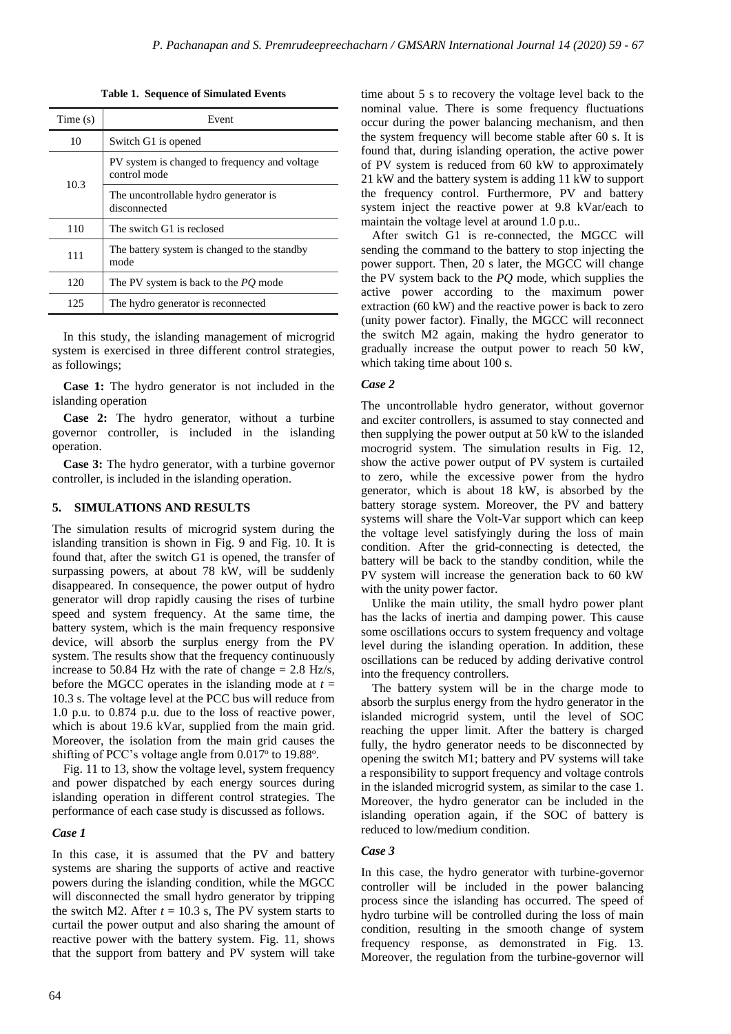| Time(s) | Event                                                         |  |
|---------|---------------------------------------------------------------|--|
| 10      | Switch G1 is opened                                           |  |
| 10.3    | PV system is changed to frequency and voltage<br>control mode |  |
|         | The uncontrollable hydro generator is<br>disconnected         |  |
| 110     | The switch G1 is reclosed                                     |  |
| 111     | The battery system is changed to the standby<br>mode          |  |
| 120     | The PV system is back to the <i>PO</i> mode                   |  |
| 125     | The hydro generator is reconnected                            |  |

**Table 1. Sequence of Simulated Events**

In this study, the islanding management of microgrid system is exercised in three different control strategies, as followings;

**Case 1:** The hydro generator is not included in the islanding operation

**Case 2:** The hydro generator, without a turbine governor controller, is included in the islanding operation.

**Case 3:** The hydro generator, with a turbine governor controller, is included in the islanding operation.

### **5. SIMULATIONS AND RESULTS**

The simulation results of microgrid system during the islanding transition is shown in Fig. 9 and Fig. 10. It is found that, after the switch G1 is opened, the transfer of surpassing powers, at about 78 kW, will be suddenly disappeared. In consequence, the power output of hydro generator will drop rapidly causing the rises of turbine speed and system frequency. At the same time, the battery system, which is the main frequency responsive device, will absorb the surplus energy from the PV system. The results show that the frequency continuously increase to 50.84 Hz with the rate of change  $= 2.8$  Hz/s, before the MGCC operates in the islanding mode at  $t =$ 10.3 s. The voltage level at the PCC bus will reduce from 1.0 p.u. to 0.874 p.u. due to the loss of reactive power, which is about 19.6 kVar, supplied from the main grid. Moreover, the isolation from the main grid causes the shifting of PCC's voltage angle from 0.017° to 19.88°.

Fig. 11 to 13, show the voltage level, system frequency and power dispatched by each energy sources during islanding operation in different control strategies. The performance of each case study is discussed as follows.

#### *Case 1*

In this case, it is assumed that the PV and battery systems are sharing the supports of active and reactive powers during the islanding condition, while the MGCC will disconnected the small hydro generator by tripping the switch M2. After  $t = 10.3$  s, The PV system starts to curtail the power output and also sharing the amount of reactive power with the battery system. Fig. 11, shows that the support from battery and PV system will take time about 5 s to recovery the voltage level back to the nominal value. There is some frequency fluctuations occur during the power balancing mechanism, and then the system frequency will become stable after 60 s. It is found that, during islanding operation, the active power of PV system is reduced from 60 kW to approximately 21 kW and the battery system is adding 11 kW to support the frequency control. Furthermore, PV and battery system inject the reactive power at 9.8 kVar/each to maintain the voltage level at around 1.0 p.u..

After switch G1 is re-connected, the MGCC will sending the command to the battery to stop injecting the power support. Then, 20 s later, the MGCC will change the PV system back to the *PQ* mode, which supplies the active power according to the maximum power extraction (60 kW) and the reactive power is back to zero (unity power factor). Finally, the MGCC will reconnect the switch M2 again, making the hydro generator to gradually increase the output power to reach 50 kW, which taking time about 100 s.

#### *Case 2*

The uncontrollable hydro generator, without governor and exciter controllers, is assumed to stay connected and then supplying the power output at 50 kW to the islanded mocrogrid system. The simulation results in Fig. 12, show the active power output of PV system is curtailed to zero, while the excessive power from the hydro generator, which is about 18 kW, is absorbed by the battery storage system. Moreover, the PV and battery systems will share the Volt-Var support which can keep the voltage level satisfyingly during the loss of main condition. After the grid-connecting is detected, the battery will be back to the standby condition, while the PV system will increase the generation back to 60 kW with the unity power factor.

Unlike the main utility, the small hydro power plant has the lacks of inertia and damping power. This cause some oscillations occurs to system frequency and voltage level during the islanding operation. In addition, these oscillations can be reduced by adding derivative control into the frequency controllers.

The battery system will be in the charge mode to absorb the surplus energy from the hydro generator in the islanded microgrid system, until the level of SOC reaching the upper limit. After the battery is charged fully, the hydro generator needs to be disconnected by opening the switch M1; battery and PV systems will take a responsibility to support frequency and voltage controls in the islanded microgrid system, as similar to the case 1. Moreover, the hydro generator can be included in the islanding operation again, if the SOC of battery is reduced to low/medium condition.

### *Case 3*

In this case, the hydro generator with turbine-governor controller will be included in the power balancing process since the islanding has occurred. The speed of hydro turbine will be controlled during the loss of main condition, resulting in the smooth change of system frequency response, as demonstrated in Fig. 13. Moreover, the regulation from the turbine-governor will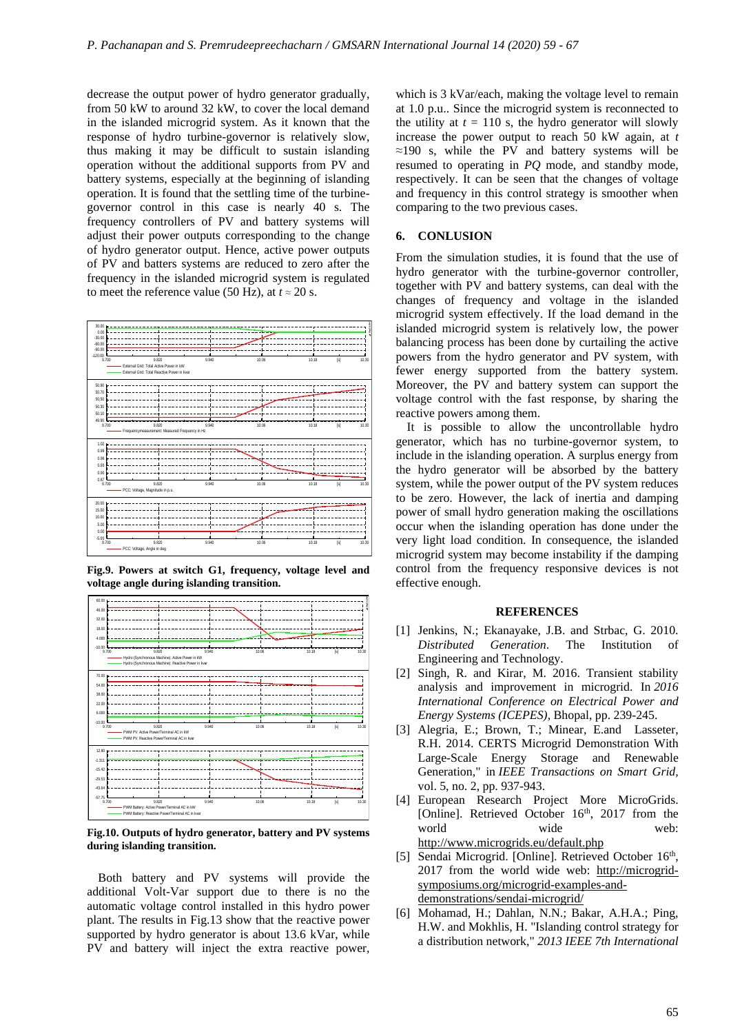decrease the output power of hydro generator gradually, from 50 kW to around 32 kW, to cover the local demand in the islanded microgrid system. As it known that the response of hydro turbine-governor is relatively slow, thus making it may be difficult to sustain islanding operation without the additional supports from PV and battery systems, especially at the beginning of islanding operation. It is found that the settling time of the turbinegovernor control in this case is nearly 40 s. The frequency controllers of PV and battery systems will adjust their power outputs corresponding to the change of hydro generator output. Hence, active power outputs of PV and batters systems are reduced to zero after the frequency in the islanded microgrid system is regulated to meet the reference value (50 Hz), at  $t \approx 20$  s.



**Fig.9. Powers at switch G1, frequency, voltage level and voltage angle during islanding transition.**



**Fig.10. Outputs of hydro generator, battery and PV systems during islanding transition.**

Both battery and PV systems will provide the additional Volt-Var support due to there is no the automatic voltage control installed in this hydro power plant. The results in Fig.13 show that the reactive power supported by hydro generator is about 13.6 kVar, while PV and battery will inject the extra reactive power,

which is 3 kVar/each, making the voltage level to remain at 1.0 p.u.. Since the microgrid system is reconnected to the utility at  $t = 110$  s, the hydro generator will slowly increase the power output to reach 50 kW again, at *t* ≈190 s, while the PV and battery systems will be resumed to operating in *PQ* mode, and standby mode, respectively. It can be seen that the changes of voltage and frequency in this control strategy is smoother when comparing to the two previous cases.

# **6. CONLUSION**

From the simulation studies, it is found that the use of hydro generator with the turbine-governor controller, together with PV and battery systems, can deal with the changes of frequency and voltage in the islanded microgrid system effectively. If the load demand in the islanded microgrid system is relatively low, the power balancing process has been done by curtailing the active powers from the hydro generator and PV system, with fewer energy supported from the battery system. Moreover, the PV and battery system can support the voltage control with the fast response, by sharing the reactive powers among them.

It is possible to allow the uncontrollable hydro generator, which has no turbine-governor system, to include in the islanding operation. A surplus energy from the hydro generator will be absorbed by the battery system, while the power output of the PV system reduces to be zero. However, the lack of inertia and damping power of small hydro generation making the oscillations occur when the islanding operation has done under the very light load condition. In consequence, the islanded microgrid system may become instability if the damping control from the frequency responsive devices is not effective enough.

#### **REFERENCES**

- [1] Jenkins, N.; Ekanayake, J.B. and Strbac, G. 2010. *Distributed Generation*. The Institution of Engineering and Technology.
- [2] Singh, R. and Kirar, M. 2016. Transient stability analysis and improvement in microgrid. In *2016 International Conference on Electrical Power and Energy Systems (ICEPES)*, Bhopal, pp. 239-245.
- [3] Alegria, E.; Brown, T.; Minear, E.and Lasseter, R.H. 2014. CERTS Microgrid Demonstration With Large-Scale Energy Storage and Renewable Generation," in *IEEE Transactions on Smart Grid*, vol. 5, no. 2, pp. 937-943.
- [4] European Research Project More MicroGrids. [Online]. Retrieved October 16<sup>th</sup>, 2017 from the world wide web: <http://www.microgrids.eu/default.php>
- [5] Sendai Microgrid. [Online]. Retrieved October 16<sup>th</sup>, 2017 from the world wide web: [http://microgrid](http://microgrid-symposiums.org/microgrid-examples-and-demonstrations/sendai-microgrid/)[symposiums.org/microgrid-examples-and](http://microgrid-symposiums.org/microgrid-examples-and-demonstrations/sendai-microgrid/)[demonstrations/sendai-microgrid/](http://microgrid-symposiums.org/microgrid-examples-and-demonstrations/sendai-microgrid/)
- [6] Mohamad, H.; Dahlan, N.N.; Bakar, A.H.A.; Ping, H.W. and Mokhlis, H. "Islanding control strategy for a distribution network," *2013 IEEE 7th International*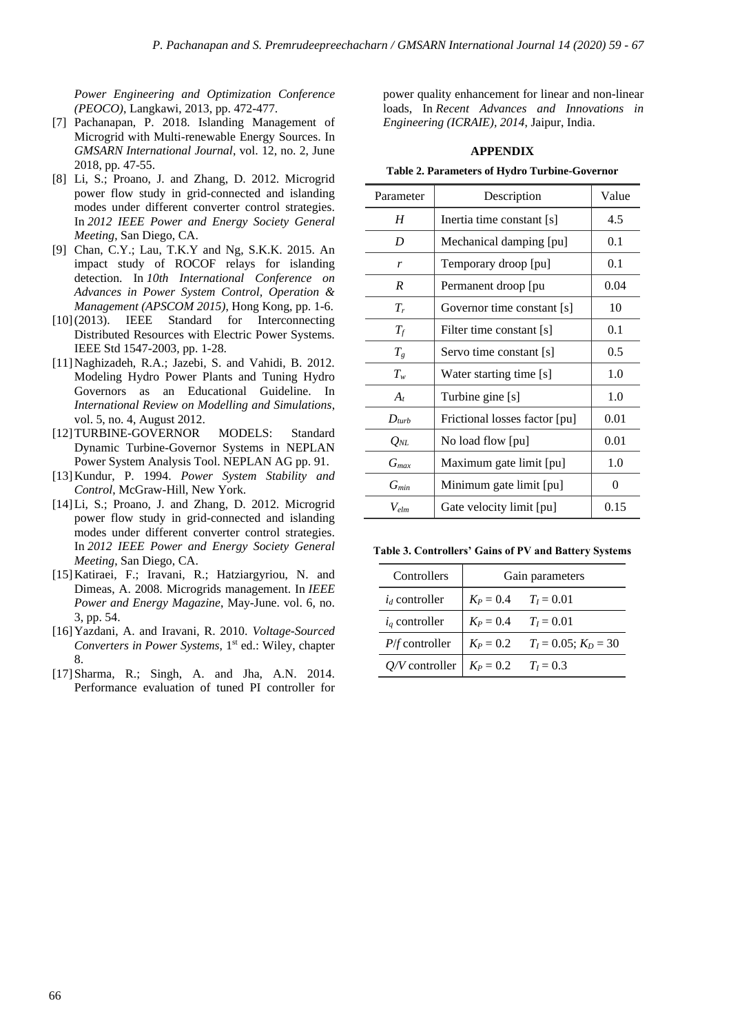*Power Engineering and Optimization Conference (PEOCO)*, Langkawi, 2013, pp. 472-477.

- [7] Pachanapan, P. 2018. Islanding Management of Microgrid with Multi-renewable Energy Sources. In *GMSARN International Journal*, vol. 12, no. 2, June 2018, pp. 47-55.
- [8] Li, S.; Proano, J. and Zhang, D. 2012. Microgrid power flow study in grid-connected and islanding modes under different converter control strategies. In *2012 IEEE Power and Energy Society General Meeting*, San Diego, CA.
- [9] Chan, C.Y.; Lau, T.K.Y and Ng, S.K.K. 2015. An impact study of ROCOF relays for islanding detection. In *10th International Conference on Advances in Power System Control, Operation & Management (APSCOM 2015)*, Hong Kong, pp. 1-6.
- [10](2013). IEEE Standard for Interconnecting Distributed Resources with Electric Power Systems. IEEE Std 1547-2003*,* pp. 1-28.
- [11]Naghizadeh, R.A.; Jazebi, S. and Vahidi, B. 2012. Modeling Hydro Power Plants and Tuning Hydro Governors as an Educational Guideline. In *International Review on Modelling and Simulations*, vol. 5, no. 4, August 2012.
- [12]TURBINE-GOVERNOR MODELS: Standard Dynamic Turbine-Governor Systems in NEPLAN Power System Analysis Tool. NEPLAN AG pp. 91.
- [13]Kundur, P. 1994. *Power System Stability and Control*, McGraw-Hill, New York.
- [14]Li, S.; Proano, J. and Zhang, D. 2012. Microgrid power flow study in grid-connected and islanding modes under different converter control strategies. In *2012 IEEE Power and Energy Society General Meeting*, San Diego, CA.
- [15]Katiraei, F.; Iravani, R.; Hatziargyriou, N. and Dimeas, A. 2008. Microgrids management. In *IEEE Power and Energy Magazine*, May-June. vol. 6, no. 3, pp. 54.
- [16]Yazdani, A. and Iravani, R. 2010. *Voltage-Sourced Converters in Power Systems*, 1<sup>st</sup> ed.: Wiley, chapter 8.
- [17]Sharma, R.; Singh, A. and Jha, A.N. 2014. Performance evaluation of tuned PI controller for

power quality enhancement for linear and non-linear loads, In *Recent Advances and Innovations in Engineering (ICRAIE), 2014*, Jaipur, India.

# **APPENDIX**

**Table 2. Parameters of Hydro Turbine-Governor**

| Parameter                             | Description                   | Value |
|---------------------------------------|-------------------------------|-------|
| H                                     | Inertia time constant [s]     | 4.5   |
| D                                     | Mechanical damping [pu]       | 0.1   |
| r                                     | Temporary droop [pu]          | 0.1   |
| R                                     | Permanent droop [pu           | 0.04  |
| $T_r$                                 | Governor time constant [s]    | 10    |
| $T_f$                                 | Filter time constant [s]      | 0.1   |
| $T_g$                                 | Servo time constant [s]       | 0.5   |
| $T_w$                                 | Water starting time [s]       | 1.0   |
| $A_t$                                 | Turbine gine [s]              | 1.0   |
| $D_{turb}$                            | Frictional losses factor [pu] | 0.01  |
| $Q_{NL}$                              | No load flow [pu]             | 0.01  |
| $G_{max}$                             | Maximum gate limit [pu]       | 1.0   |
| $G_\mathit{min}$                      | Minimum gate limit [pu]       |       |
| Gate velocity limit [pu]<br>$V_{elm}$ |                               | 0.15  |

**Table 3. Controllers' Gains of PV and Battery Systems**

| Controllers                              | Gain parameters          |                                       |  |
|------------------------------------------|--------------------------|---------------------------------------|--|
| $i_d$ controller                         | $K_P = 0.4$ $T_I = 0.01$ |                                       |  |
| $i_q$ controller                         | $K_P = 0.4$ $T_I = 0.01$ |                                       |  |
| $P/f$ controller                         |                          | $K_P = 0.2$ $T_I = 0.05$ ; $K_D = 30$ |  |
| Q/V controller   $K_P = 0.2$ $T_I = 0.3$ |                          |                                       |  |